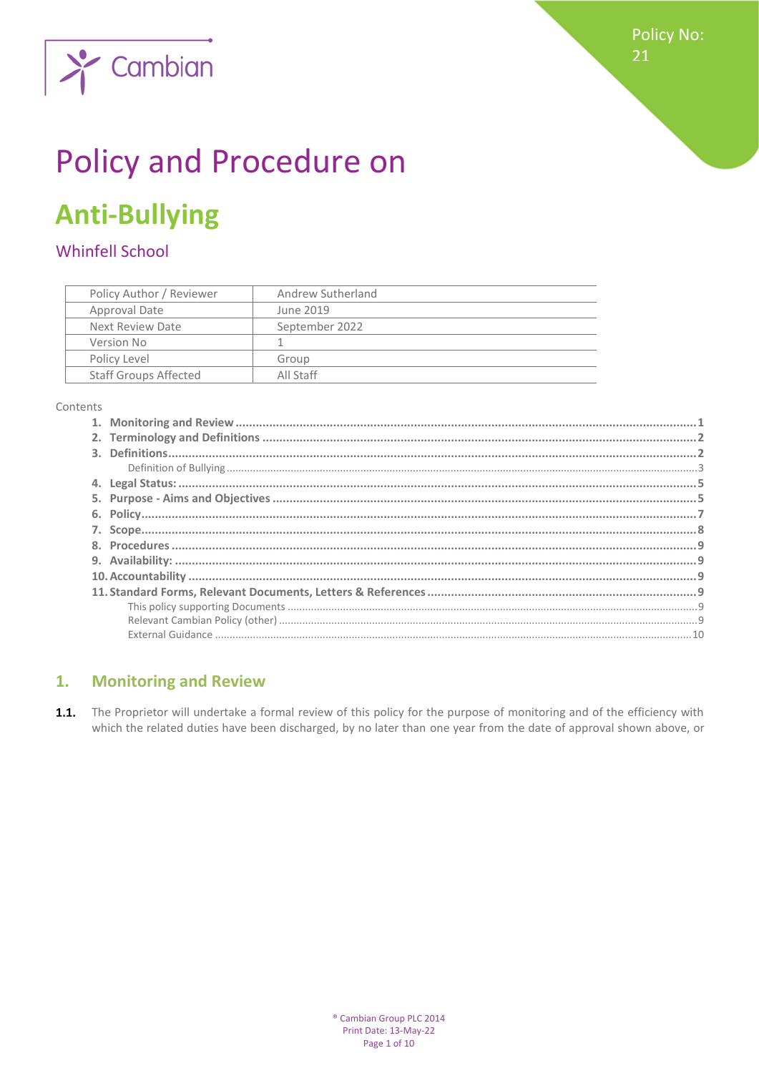

# **Policy and Procedure on**

## **Anti-Bullying**

 $\sim$  Cambian

### **Whinfell School**

|               | Policy Author / Reviewer     | Andrew Sutherland |
|---------------|------------------------------|-------------------|
| Approval Date |                              | June 2019         |
|               | Next Review Date             | September 2022    |
| Version No    |                              |                   |
| Policy Level  |                              | Group             |
|               | <b>Staff Groups Affected</b> | All Staff         |

Contents

#### <span id="page-0-0"></span>**Monitoring and Review**  $1.$

 $1.1.$ The Proprietor will undertake a formal review of this policy for the purpose of monitoring and of the efficiency with which the related duties have been discharged, by no later than one year from the date of approval shown above, or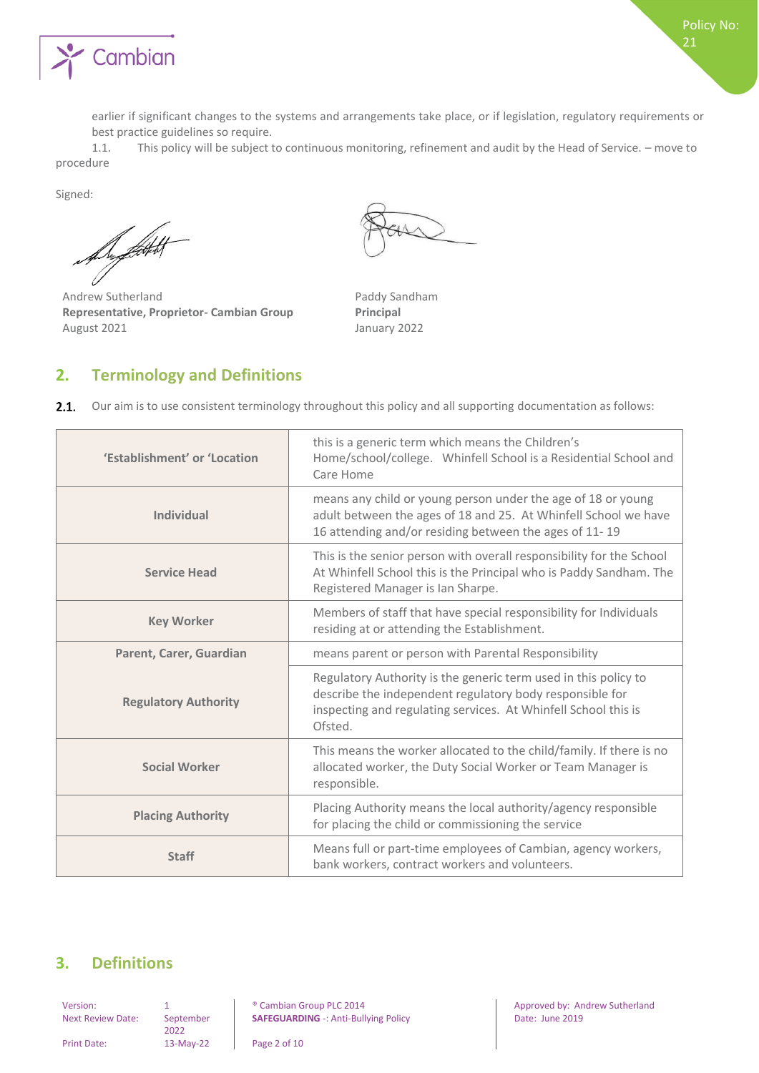

earlier if significant changes to the systems and arrangements take place, or if legislation, regulatory requirements or best practice guidelines so require.

1.1. This policy will be subject to continuous monitoring, refinement and audit by the Head of Service. – move to procedure

Signed:

Jørt

Andrew Sutherland **Paddy Sandham Representative, Proprietor- Cambian Group Principal** August 2021 **January 2022** 

#### <span id="page-1-0"></span>**2. Terminology and Definitions**

|  |  | 2.1. Our aim is to use consistent terminology throughout this policy and all supporting documentation as follows: |  |  |  |  |  |
|--|--|-------------------------------------------------------------------------------------------------------------------|--|--|--|--|--|
|--|--|-------------------------------------------------------------------------------------------------------------------|--|--|--|--|--|

| 'Establishment' or 'Location | this is a generic term which means the Children's<br>Home/school/college. Whinfell School is a Residential School and<br>Care Home                                                                       |  |  |
|------------------------------|----------------------------------------------------------------------------------------------------------------------------------------------------------------------------------------------------------|--|--|
| <b>Individual</b>            | means any child or young person under the age of 18 or young<br>adult between the ages of 18 and 25. At Whinfell School we have<br>16 attending and/or residing between the ages of 11-19                |  |  |
| <b>Service Head</b>          | This is the senior person with overall responsibility for the School<br>At Whinfell School this is the Principal who is Paddy Sandham. The<br>Registered Manager is Ian Sharpe.                          |  |  |
| <b>Key Worker</b>            | Members of staff that have special responsibility for Individuals<br>residing at or attending the Establishment.                                                                                         |  |  |
| Parent, Carer, Guardian      | means parent or person with Parental Responsibility                                                                                                                                                      |  |  |
| <b>Regulatory Authority</b>  | Regulatory Authority is the generic term used in this policy to<br>describe the independent regulatory body responsible for<br>inspecting and regulating services. At Whinfell School this is<br>Ofsted. |  |  |
| <b>Social Worker</b>         | This means the worker allocated to the child/family. If there is no<br>allocated worker, the Duty Social Worker or Team Manager is<br>responsible.                                                       |  |  |
| <b>Placing Authority</b>     | Placing Authority means the local authority/agency responsible<br>for placing the child or commissioning the service                                                                                     |  |  |
| <b>Staff</b>                 | Means full or part-time employees of Cambian, agency workers,<br>bank workers, contract workers and volunteers.                                                                                          |  |  |

#### <span id="page-1-1"></span>**3. Definitions**

Next Review Date:

2022

Version: 1 <sup>®</sup> Cambian Group PLC 2014 Approved by: Andrew Sutherland<br>
Next Review Date: September **SAFEGUARDING** -: Anti-Bullying Policy **Date: June 2019 SAFEGUARDING** -: Anti-Bullying Policy Date: June 2019

Print Date: 13-May-22 Page 2 of 10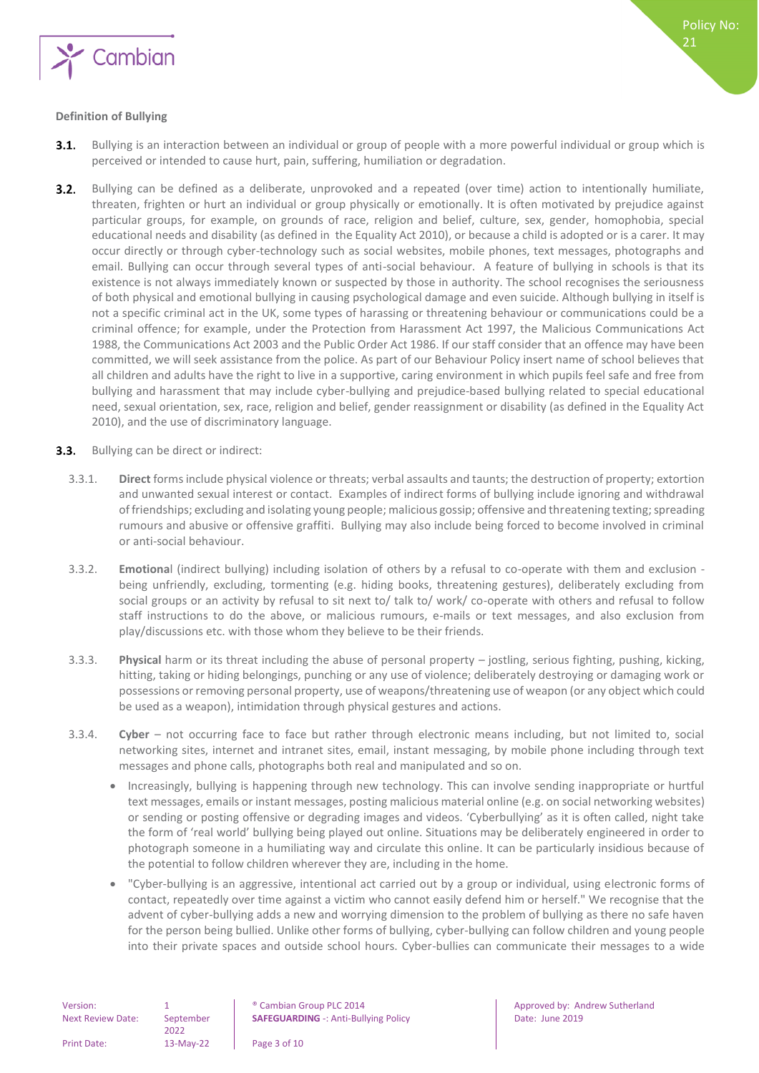

#### <span id="page-2-0"></span>**Definition of Bullying**

- Bullying is an interaction between an individual or group of people with a more powerful individual or group which is  $3.1.$ perceived or intended to cause hurt, pain, suffering, humiliation or degradation.
- $3.2.$ Bullying can be defined as a deliberate, unprovoked and a repeated (over time) action to intentionally humiliate, threaten, frighten or hurt an individual or group physically or emotionally. It is often motivated by prejudice against particular groups, for example, on grounds of race, religion and belief, culture, sex, gender, homophobia, special educational needs and disability (as defined in the Equality Act 2010), or because a child is adopted or is a carer. It may occur directly or through cyber-technology such as social websites, mobile phones, text messages, photographs and email. Bullying can occur through several types of anti-social behaviour. A feature of bullying in schools is that its existence is not always immediately known or suspected by those in authority. The school recognises the seriousness of both physical and emotional bullying in causing psychological damage and even suicide. Although bullying in itself is not a specific criminal act in the UK, some types of harassing or threatening behaviour or communications could be a criminal offence; for example, under the Protection from Harassment Act 1997, the Malicious Communications Act 1988, the Communications Act 2003 and the Public Order Act 1986. If our staff consider that an offence may have been committed, we will seek assistance from the police. As part of our Behaviour Policy insert name of school believes that all children and adults have the right to live in a supportive, caring environment in which pupils feel safe and free from bullying and harassment that may include cyber-bullying and prejudice-based bullying related to special educational need, sexual orientation, sex, race, religion and belief, gender reassignment or disability (as defined in the Equality Act 2010), and the use of discriminatory language.
- $3.3.$ Bullying can be direct or indirect:
	- 3.3.1. **Direct** forms include physical violence or threats; verbal assaults and taunts; the destruction of property; extortion and unwanted sexual interest or contact. Examples of indirect forms of bullying include ignoring and withdrawal of friendships; excluding and isolating young people; malicious gossip; offensive and threatening texting; spreading rumours and abusive or offensive graffiti. Bullying may also include being forced to become involved in criminal or anti-social behaviour.
	- 3.3.2. **Emotiona**l (indirect bullying) including isolation of others by a refusal to co-operate with them and exclusion being unfriendly, excluding, tormenting (e.g. hiding books, threatening gestures), deliberately excluding from social groups or an activity by refusal to sit next to/ talk to/ work/ co-operate with others and refusal to follow staff instructions to do the above, or malicious rumours, e-mails or text messages, and also exclusion from play/discussions etc. with those whom they believe to be their friends.
	- 3.3.3. **Physical** harm or its threat including the abuse of personal property jostling, serious fighting, pushing, kicking, hitting, taking or hiding belongings, punching or any use of violence; deliberately destroying or damaging work or possessions or removing personal property, use of weapons/threatening use of weapon (or any object which could be used as a weapon), intimidation through physical gestures and actions.
	- 3.3.4. **Cyber** not occurring face to face but rather through electronic means including, but not limited to, social networking sites, internet and intranet sites, email, instant messaging, by mobile phone including through text messages and phone calls, photographs both real and manipulated and so on.
		- Increasingly, bullying is happening through new technology. This can involve sending inappropriate or hurtful text messages, emails or instant messages, posting malicious material online (e.g. on social networking websites) or sending or posting offensive or degrading images and videos. 'Cyberbullying' as it is often called, night take the form of 'real world' bullying being played out online. Situations may be deliberately engineered in order to photograph someone in a humiliating way and circulate this online. It can be particularly insidious because of the potential to follow children wherever they are, including in the home.
		- "Cyber-bullying is an aggressive, intentional act carried out by a group or individual, using electronic forms of contact, repeatedly over time against a victim who cannot easily defend him or herself." We recognise that the advent of cyber-bullying adds a new and worrying dimension to the problem of bullying as there no safe haven for the person being bullied. Unlike other forms of bullying, cyber-bullying can follow children and young people into their private spaces and outside school hours. Cyber-bullies can communicate their messages to a wide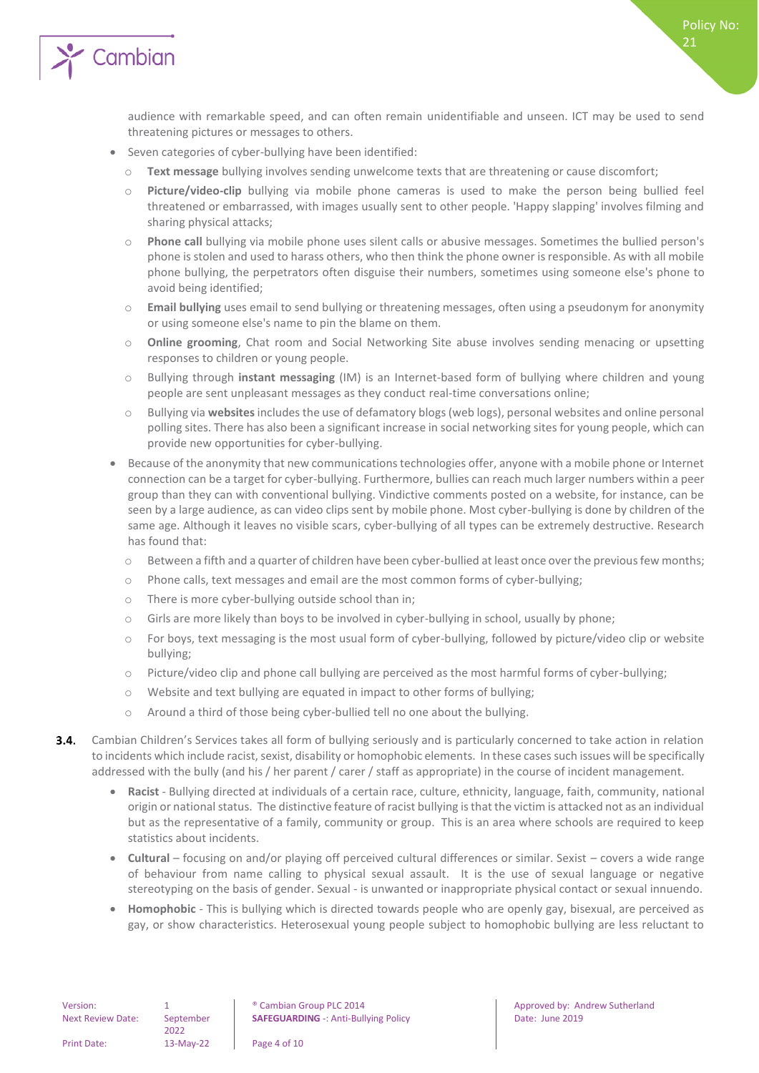

audience with remarkable speed, and can often remain unidentifiable and unseen. ICT may be used to send threatening pictures or messages to others.

- Seven categories of cyber-bullying have been identified:
	- o **Text message** bullying involves sending unwelcome texts that are threatening or cause discomfort;
	- o **Picture/video-clip** bullying via mobile phone cameras is used to make the person being bullied feel threatened or embarrassed, with images usually sent to other people. 'Happy slapping' involves filming and sharing physical attacks;
	- o **Phone call** bullying via mobile phone uses silent calls or abusive messages. Sometimes the bullied person's phone is stolen and used to harass others, who then think the phone owner is responsible. As with all mobile phone bullying, the perpetrators often disguise their numbers, sometimes using someone else's phone to avoid being identified;
	- o **Email bullying** uses email to send bullying or threatening messages, often using a pseudonym for anonymity or using someone else's name to pin the blame on them.
	- o **Online grooming**, Chat room and Social Networking Site abuse involves sending menacing or upsetting responses to children or young people.
	- o Bullying through **instant messaging** (IM) is an Internet-based form of bullying where children and young people are sent unpleasant messages as they conduct real-time conversations online;
	- o Bullying via **websites**includes the use of defamatory blogs (web logs), personal websites and online personal polling sites. There has also been a significant increase in social networking sites for young people, which can provide new opportunities for cyber-bullying.
- Because of the anonymity that new communications technologies offer, anyone with a mobile phone or Internet connection can be a target for cyber-bullying. Furthermore, bullies can reach much larger numbers within a peer group than they can with conventional bullying. Vindictive comments posted on a website, for instance, can be seen by a large audience, as can video clips sent by mobile phone. Most cyber-bullying is done by children of the same age. Although it leaves no visible scars, cyber-bullying of all types can be extremely destructive. Research has found that:
	- o Between a fifth and a quarter of children have been cyber-bullied at least once over the previous few months;
	- o Phone calls, text messages and email are the most common forms of cyber-bullying;
	- o There is more cyber-bullying outside school than in;
	- o Girls are more likely than boys to be involved in cyber-bullying in school, usually by phone;
	- o For boys, text messaging is the most usual form of cyber-bullying, followed by picture/video clip or website bullying;
	- o Picture/video clip and phone call bullying are perceived as the most harmful forms of cyber-bullying;
	- o Website and text bullying are equated in impact to other forms of bullying;
	- o Around a third of those being cyber-bullied tell no one about the bullying.
- $3.4.$ Cambian Children's Services takes all form of bullying seriously and is particularly concerned to take action in relation to incidents which include racist, sexist, disability or homophobic elements. In these cases such issues will be specifically addressed with the bully (and his / her parent / carer / staff as appropriate) in the course of incident management.
	- **Racist**  Bullying directed at individuals of a certain race, culture, ethnicity, language, faith, community, national origin or national status. The distinctive feature of racist bullying is that the victim is attacked not as an individual but as the representative of a family, community or group. This is an area where schools are required to keep statistics about incidents.
	- **Cultural** focusing on and/or playing off perceived cultural differences or similar. Sexist covers a wide range of behaviour from name calling to physical sexual assault. It is the use of sexual language or negative stereotyping on the basis of gender. Sexual - is unwanted or inappropriate physical contact or sexual innuendo.
	- **Homophobic** This is bullying which is directed towards people who are openly gay, bisexual, are perceived as gay, or show characteristics. Heterosexual young people subject to homophobic bullying are less reluctant to

2022 Print Date: 13-May-22 Page 4 of 10

Version: 1 1 8 | Cambian Group PLC 2014 | Approved by: Andrew Sutherland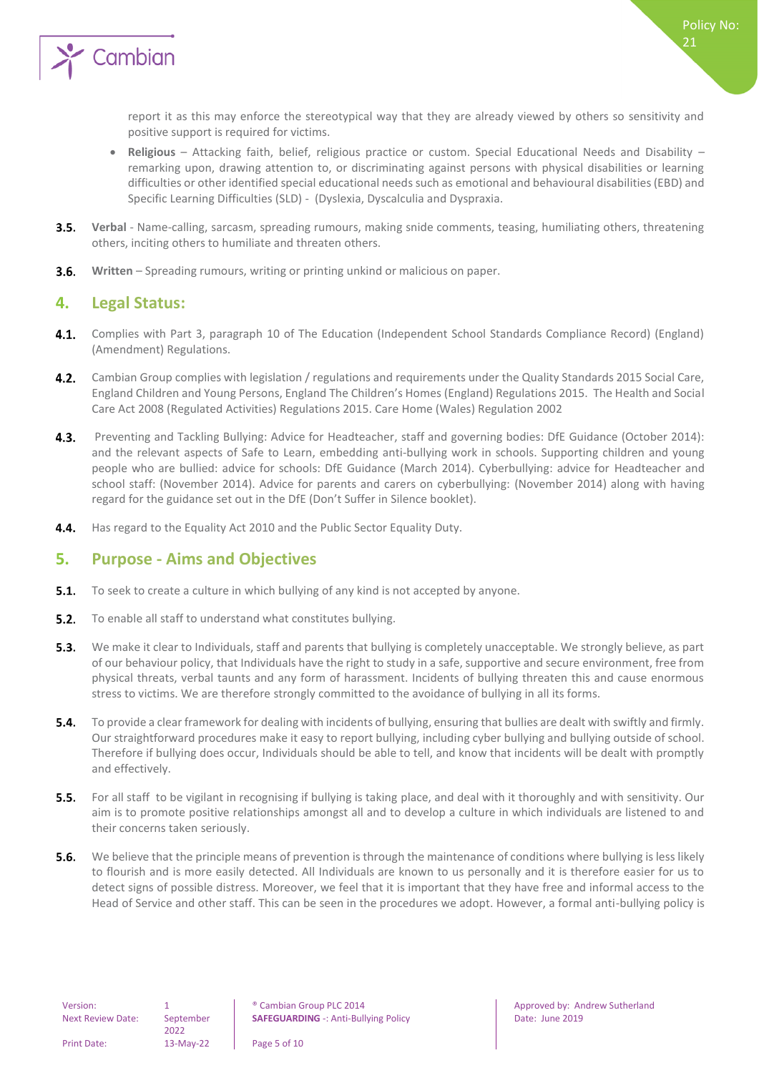

report it as this may enforce the stereotypical way that they are already viewed by others so sensitivity and positive support is required for victims.

- **Religious** Attacking faith, belief, religious practice or custom. Special Educational Needs and Disability remarking upon, drawing attention to, or discriminating against persons with physical disabilities or learning difficulties or other identified special educational needs such as emotional and behavioural disabilities (EBD) and Specific Learning Difficulties (SLD) - (Dyslexia, Dyscalculia and Dyspraxia.
- $3.5.$ **Verbal** - Name-calling, sarcasm, spreading rumours, making snide comments, teasing, humiliating others, threatening others, inciting others to humiliate and threaten others.
- $3.6.$ **Written** – Spreading rumours, writing or printing unkind or malicious on paper.

#### <span id="page-4-0"></span>**4. Legal Status:**

- 4.1. Complies with Part 3, paragraph 10 of The Education (Independent School Standards Compliance Record) (England) (Amendment) Regulations.
- $4.2.$ Cambian Group complies with legislation / regulations and requirements under the Quality Standards 2015 Social Care, England Children and Young Persons, England The Children's Homes (England) Regulations 2015. The Health and Social Care Act 2008 (Regulated Activities) Regulations 2015. Care Home (Wales) Regulation 2002
- $4.3.$ Preventing and Tackling Bullying: Advice for Headteacher, staff and governing bodies: DfE Guidance (October 2014): and the relevant aspects of Safe to Learn, embedding anti-bullying work in schools. Supporting children and young people who are bullied: advice for schools: DfE Guidance (March 2014). Cyberbullying: advice for Headteacher and school staff: (November 2014). Advice for parents and carers on cyberbullying: (November 2014) along with having regard for the guidance set out in the DfE (Don't Suffer in Silence booklet).
- <span id="page-4-1"></span> $4.4.$ Has regard to the Equality Act 2010 and the Public Sector Equality Duty.

#### **5. Purpose - Aims and Objectives**

- $5.1.$ To seek to create a culture in which bullying of any kind is not accepted by anyone.
- $5.2.$ To enable all staff to understand what constitutes bullying.
- $5.3.$ We make it clear to Individuals, staff and parents that bullying is completely unacceptable. We strongly believe, as part of our behaviour policy, that Individuals have the right to study in a safe, supportive and secure environment, free from physical threats, verbal taunts and any form of harassment. Incidents of bullying threaten this and cause enormous stress to victims. We are therefore strongly committed to the avoidance of bullying in all its forms.
- **5.4.** To provide a clear framework for dealing with incidents of bullying, ensuring that bullies are dealt with swiftly and firmly. Our straightforward procedures make it easy to report bullying, including cyber bullying and bullying outside of school. Therefore if bullying does occur, Individuals should be able to tell, and know that incidents will be dealt with promptly and effectively.
- $5.5.$ For all staff to be vigilant in recognising if bullying is taking place, and deal with it thoroughly and with sensitivity. Our aim is to promote positive relationships amongst all and to develop a culture in which individuals are listened to and their concerns taken seriously.
- $5.6.$ We believe that the principle means of prevention is through the maintenance of conditions where bullying is less likely to flourish and is more easily detected. All Individuals are known to us personally and it is therefore easier for us to detect signs of possible distress. Moreover, we feel that it is important that they have free and informal access to the Head of Service and other staff. This can be seen in the procedures we adopt. However, a formal anti-bullying policy is

2022

**SAFEGUARDING** -: Anti-Bullying Policy **Date: Under the 2019** 

Print Date: 13-May-22 Page 5 of 10

Version: 1 1 8 | Cambian Group PLC 2014 | Approved by: Andrew Sutherland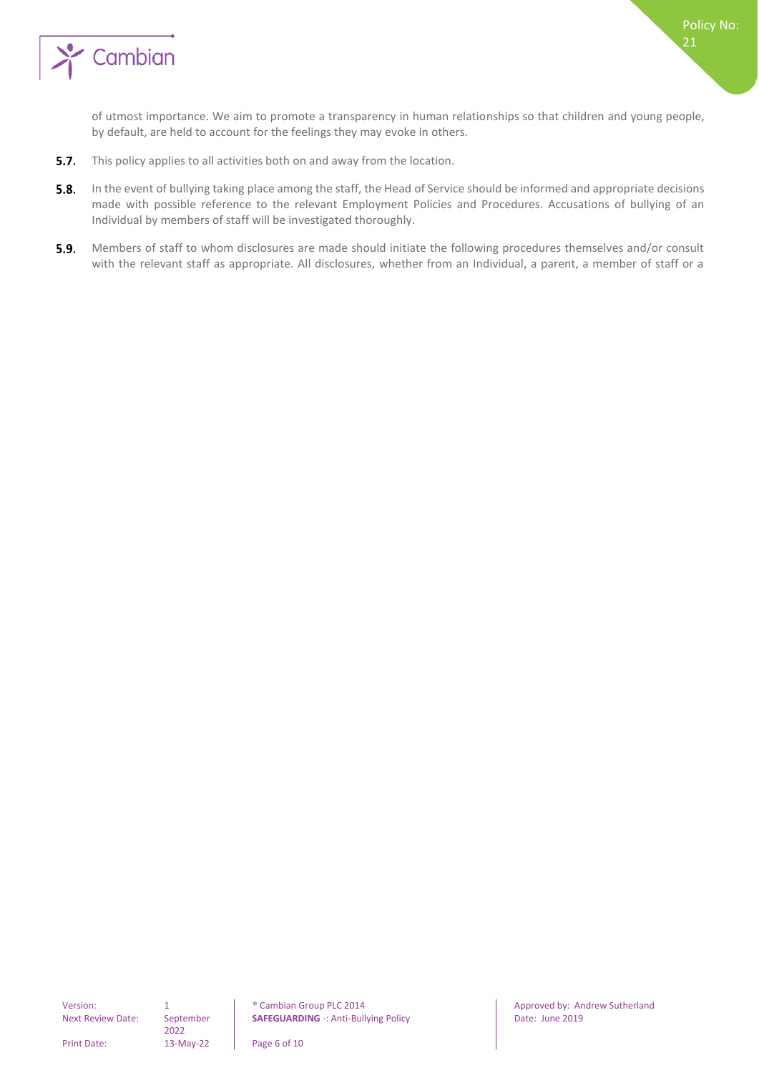

of utmost importance. We aim to promote a transparency in human relationships so that children and young people, by default, are held to account for the feelings they may evoke in others.

- $5.7.$ This policy applies to all activities both on and away from the location.
- $5.8.$ In the event of bullying taking place among the staff, the Head of Service should be informed and appropriate decisions made with possible reference to the relevant Employment Policies and Procedures. Accusations of bullying of an Individual by members of staff will be investigated thoroughly.
- 5.9. Members of staff to whom disclosures are made should initiate the following procedures themselves and/or consult with the relevant staff as appropriate. All disclosures, whether from an Individual, a parent, a member of staff or a

2022

Print Date: 13-May-22 Page 6 of 10

Policy No: 21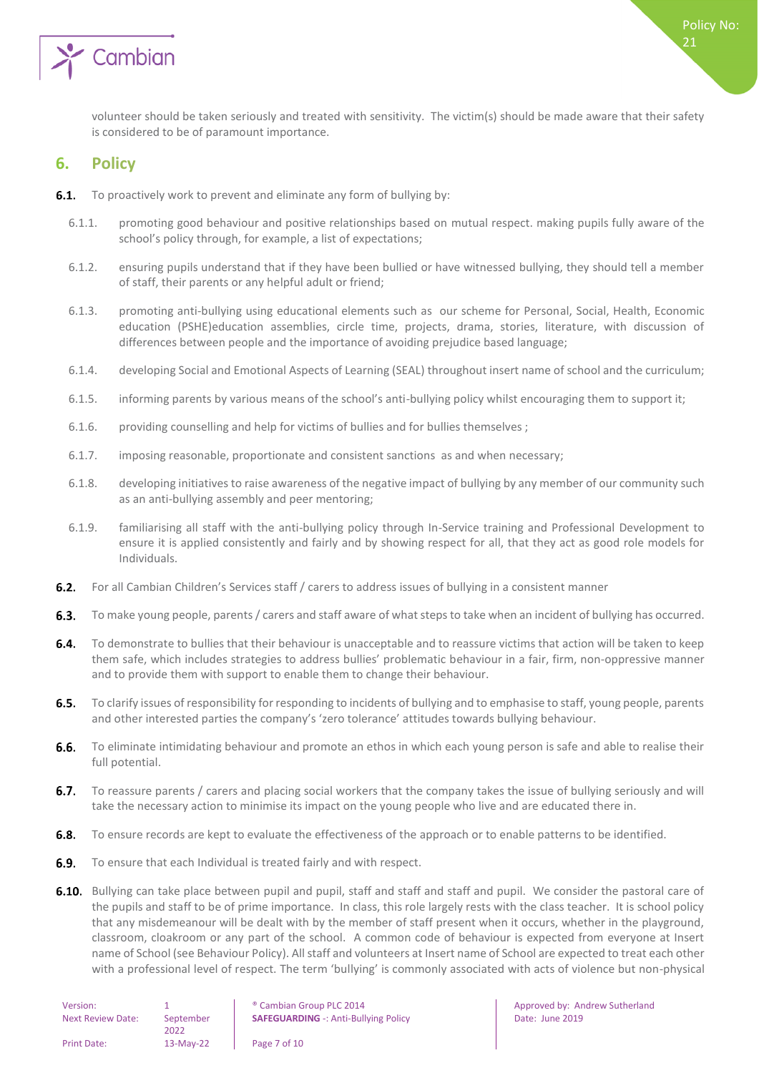

<span id="page-6-0"></span>volunteer should be taken seriously and treated with sensitivity. The victim(s) should be made aware that their safety is considered to be of paramount importance.

#### **6. Policy**

- **6.1.** To proactively work to prevent and eliminate any form of bullying by:
	- 6.1.1. promoting good behaviour and positive relationships based on mutual respect. making pupils fully aware of the school's policy through, for example, a list of expectations;
	- 6.1.2. ensuring pupils understand that if they have been bullied or have witnessed bullying, they should tell a member of staff, their parents or any helpful adult or friend;
	- 6.1.3. promoting anti-bullying using educational elements such as our scheme for Personal, Social, Health, Economic education (PSHE)education assemblies, circle time, projects, drama, stories, literature, with discussion of differences between people and the importance of avoiding prejudice based language;
	- 6.1.4. developing Social and Emotional Aspects of Learning (SEAL) throughout insert name of school and the curriculum;
	- 6.1.5. informing parents by various means of the school's anti-bullying policy whilst encouraging them to support it;
	- 6.1.6. providing counselling and help for victims of bullies and for bullies themselves ;
	- 6.1.7. imposing reasonable, proportionate and consistent sanctions as and when necessary;
	- 6.1.8. developing initiatives to raise awareness of the negative impact of bullying by any member of our community such as an anti-bullying assembly and peer mentoring;
	- 6.1.9. familiarising all staff with the anti-bullying policy through In-Service training and Professional Development to ensure it is applied consistently and fairly and by showing respect for all, that they act as good role models for Individuals.
- $6.2.$ For all Cambian Children's Services staff / carers to address issues of bullying in a consistent manner
- To make young people, parents / carers and staff aware of what steps to take when an incident of bullying has occurred.  $6.3.$
- $6.4.$ To demonstrate to bullies that their behaviour is unacceptable and to reassure victims that action will be taken to keep them safe, which includes strategies to address bullies' problematic behaviour in a fair, firm, non-oppressive manner and to provide them with support to enable them to change their behaviour.
- $6.5.$ To clarify issues of responsibility for responding to incidents of bullying and to emphasise to staff, young people, parents and other interested parties the company's 'zero tolerance' attitudes towards bullying behaviour.
- $6.6.$ To eliminate intimidating behaviour and promote an ethos in which each young person is safe and able to realise their full potential.
- $6.7.$ To reassure parents / carers and placing social workers that the company takes the issue of bullying seriously and will take the necessary action to minimise its impact on the young people who live and are educated there in.
- 6.8. To ensure records are kept to evaluate the effectiveness of the approach or to enable patterns to be identified.
- $6.9.$ To ensure that each Individual is treated fairly and with respect.
- 6.10. Bullying can take place between pupil and pupil, staff and staff and staff and pupil. We consider the pastoral care of the pupils and staff to be of prime importance. In class, this role largely rests with the class teacher. It is school policy that any misdemeanour will be dealt with by the member of staff present when it occurs, whether in the playground, classroom, cloakroom or any part of the school. A common code of behaviour is expected from everyone at Insert name of School (see Behaviour Policy). All staff and volunteers at Insert name of School are expected to treat each other with a professional level of respect. The term 'bullying' is commonly associated with acts of violence but non-physical

| Version:          |           | <sup>®</sup> Cambian Group PLC 2014         |
|-------------------|-----------|---------------------------------------------|
| Next Review Date: | September | <b>SAFEGUARDING -: Anti-Bullying Policy</b> |
|                   | 2022      |                                             |
| Print Date:       | 13-May-22 | Page 7 of 10                                |

Approved by: Andrew Sutherland Date: June 2019

Policy No: 21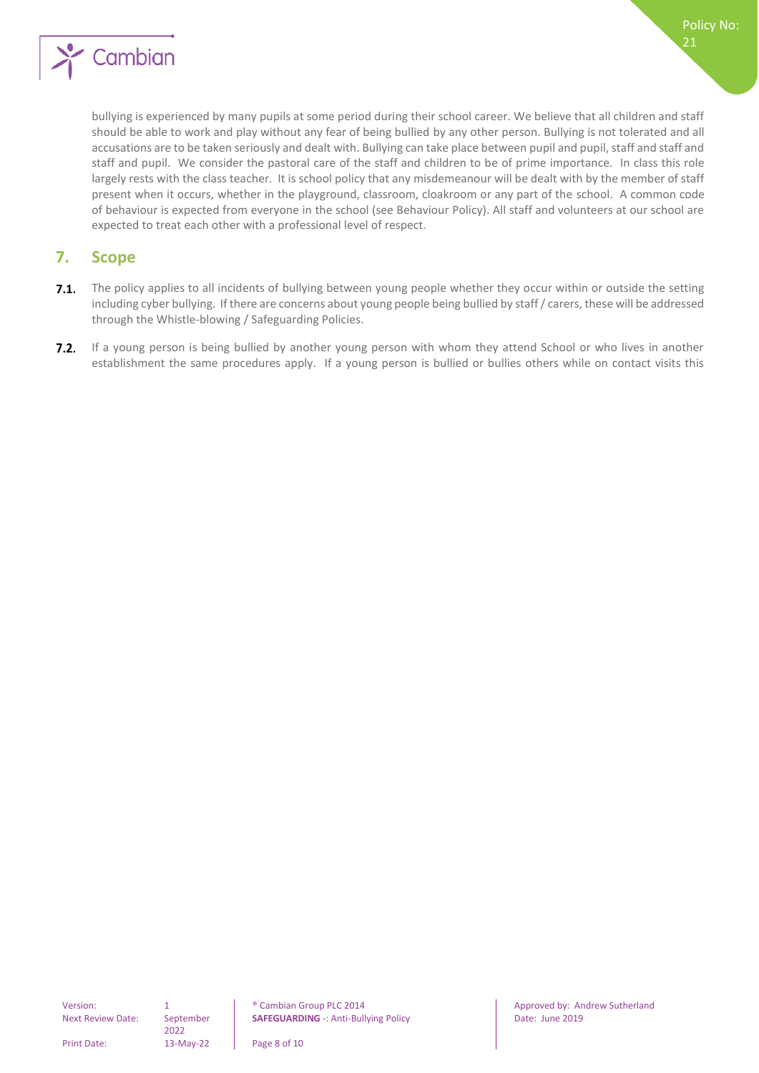

bullying is experienced by many pupils at some period during their school career. We believe that all children and staff should be able to work and play without any fear of being bullied by any other person. Bullying is not tolerated and all accusations are to be taken seriously and dealt with. Bullying can take place between pupil and pupil, staff and staff and staff and pupil. We consider the pastoral care of the staff and children to be of prime importance. In class this role largely rests with the class teacher. It is school policy that any misdemeanour will be dealt with by the member of staff present when it occurs, whether in the playground, classroom, cloakroom or any part of the school. A common code of behaviour is expected from everyone in the school (see Behaviour Policy). All staff and volunteers at our school are expected to treat each other with a professional level of respect.

#### <span id="page-7-0"></span>**7. Scope**

- $7.1.$ The policy applies to all incidents of bullying between young people whether they occur within or outside the setting including cyber bullying. If there are concerns about young people being bullied by staff / carers, these will be addressed through the Whistle-blowing / Safeguarding Policies.
- $7.2.$ If a young person is being bullied by another young person with whom they attend School or who lives in another establishment the same procedures apply. If a young person is bullied or bullies others while on contact visits this

Next Review Date: September

2022

**SAFEGUARDING** -: Anti-Bullying Policy **Date: Under the 2019** 

Print Date: 13-May-22 Page 8 of 10

Version: 1 1 8 | Cambian Group PLC 2014 | Approved by: Andrew Sutherland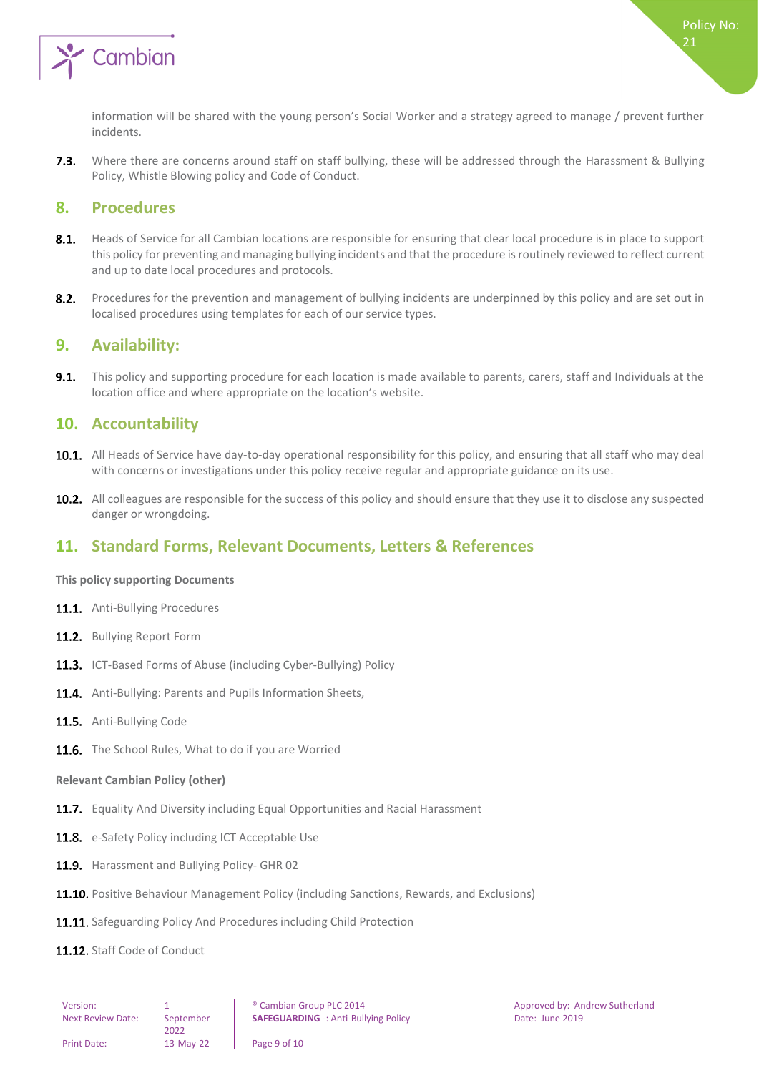

Where there are concerns around staff on staff bullying, these will be addressed through the Harassment & Bullying  $7.3.$ Policy, Whistle Blowing policy and Code of Conduct.

#### <span id="page-8-0"></span>**8. Procedures**

- $8.1.$ Heads of Service for all Cambian locations are responsible for ensuring that clear local procedure is in place to support this policy for preventing and managing bullying incidents and that the procedure is routinely reviewed to reflect current and up to date local procedures and protocols.
- $8.2.$ Procedures for the prevention and management of bullying incidents are underpinned by this policy and are set out in localised procedures using templates for each of our service types.

#### <span id="page-8-1"></span>**9. Availability:**

 $9.1.$ This policy and supporting procedure for each location is made available to parents, carers, staff and Individuals at the location office and where appropriate on the location's website.

#### <span id="page-8-2"></span>**10. Accountability**

- 10.1. All Heads of Service have day-to-day operational responsibility for this policy, and ensuring that all staff who may deal with concerns or investigations under this policy receive regular and appropriate guidance on its use.
- 10.2. All colleagues are responsible for the success of this policy and should ensure that they use it to disclose any suspected danger or wrongdoing.

#### <span id="page-8-3"></span>**11. Standard Forms, Relevant Documents, Letters & References**

#### <span id="page-8-4"></span>**This policy supporting Documents**

- 11.1. Anti-Bullying Procedures
- 11.2. Bullving Report Form
- 11.3. ICT-Based Forms of Abuse (including Cyber-Bullying) Policy
- 11.4. Anti-Bullying: Parents and Pupils Information Sheets,
- 11.5. Anti-Bullving Code
- <span id="page-8-5"></span>11.6. The School Rules, What to do if you are Worried

#### **Relevant Cambian Policy (other)**

- 11.7. Equality And Diversity including Equal Opportunities and Racial Harassment
- 11.8. e-Safety Policy including ICT Acceptable Use
- 11.9. Harassment and Bullying Policy- GHR 02
- 11.10. Positive Behaviour Management Policy (including Sanctions, Rewards, and Exclusions)
- 11.11. Safeguarding Policy And Procedures including Child Protection
- 11.12. Staff Code of Conduct